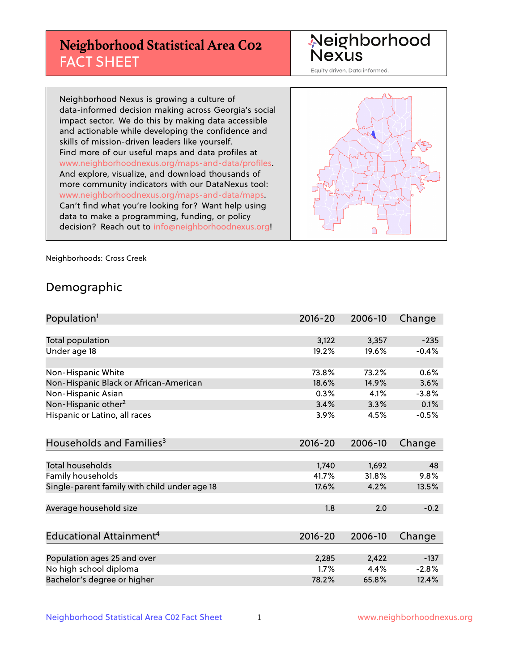# **Neighborhood Statistical Area C02** FACT SHEET

Neighborhood Nexus

Equity driven. Data informed.

Neighborhood Nexus is growing a culture of data-informed decision making across Georgia's social impact sector. We do this by making data accessible and actionable while developing the confidence and skills of mission-driven leaders like yourself. Find more of our useful maps and data profiles at www.neighborhoodnexus.org/maps-and-data/profiles. And explore, visualize, and download thousands of more community indicators with our DataNexus tool: www.neighborhoodnexus.org/maps-and-data/maps. Can't find what you're looking for? Want help using data to make a programming, funding, or policy decision? Reach out to [info@neighborhoodnexus.org!](mailto:info@neighborhoodnexus.org)



Neighborhoods: Cross Creek

### Demographic

| Population <sup>1</sup>                      | $2016 - 20$ | 2006-10 | Change  |
|----------------------------------------------|-------------|---------|---------|
|                                              |             |         |         |
| Total population                             | 3,122       | 3,357   | $-235$  |
| Under age 18                                 | 19.2%       | 19.6%   | $-0.4%$ |
|                                              |             |         |         |
| Non-Hispanic White                           | 73.8%       | 73.2%   | 0.6%    |
| Non-Hispanic Black or African-American       | 18.6%       | 14.9%   | 3.6%    |
| Non-Hispanic Asian                           | 0.3%        | 4.1%    | $-3.8%$ |
| Non-Hispanic other <sup>2</sup>              | 3.4%        | 3.3%    | 0.1%    |
| Hispanic or Latino, all races                | 3.9%        | 4.5%    | $-0.5%$ |
|                                              |             |         |         |
| Households and Families <sup>3</sup>         | $2016 - 20$ | 2006-10 | Change  |
|                                              |             |         |         |
| Total households                             | 1,740       | 1,692   | 48      |
| Family households                            | 41.7%       | 31.8%   | 9.8%    |
| Single-parent family with child under age 18 | 17.6%       | 4.2%    | 13.5%   |
|                                              |             |         |         |
| Average household size                       | 1.8         | 2.0     | $-0.2$  |
|                                              |             |         |         |
| Educational Attainment <sup>4</sup>          | $2016 - 20$ | 2006-10 | Change  |
|                                              |             |         |         |
| Population ages 25 and over                  | 2,285       | 2,422   | $-137$  |
| No high school diploma                       | 1.7%        | 4.4%    | $-2.8%$ |
| Bachelor's degree or higher                  | 78.2%       | 65.8%   | 12.4%   |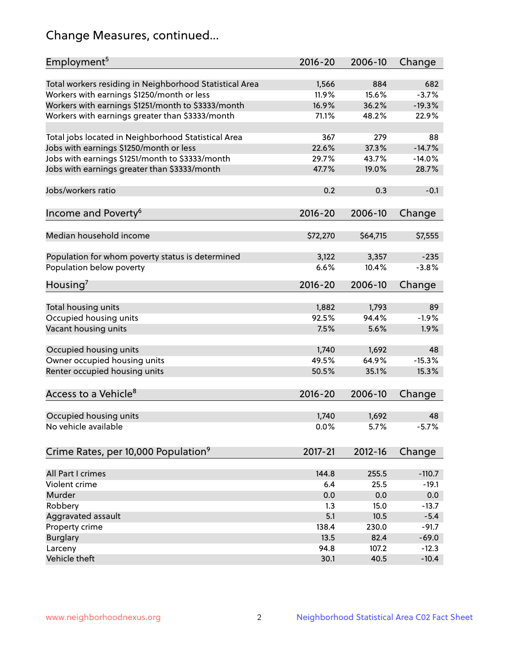# Change Measures, continued...

| Employment <sup>5</sup>                                 | $2016 - 20$ | 2006-10  | Change              |
|---------------------------------------------------------|-------------|----------|---------------------|
|                                                         |             |          |                     |
| Total workers residing in Neighborhood Statistical Area | 1,566       | 884      | 682                 |
| Workers with earnings \$1250/month or less              | 11.9%       | 15.6%    | $-3.7%$<br>$-19.3%$ |
| Workers with earnings \$1251/month to \$3333/month      | 16.9%       | 36.2%    | 22.9%               |
| Workers with earnings greater than \$3333/month         | 71.1%       | 48.2%    |                     |
| Total jobs located in Neighborhood Statistical Area     | 367         | 279      | 88                  |
| Jobs with earnings \$1250/month or less                 | 22.6%       | 37.3%    | $-14.7%$            |
| Jobs with earnings \$1251/month to \$3333/month         | 29.7%       | 43.7%    | $-14.0%$            |
| Jobs with earnings greater than \$3333/month            | 47.7%       | 19.0%    | 28.7%               |
|                                                         |             |          |                     |
| Jobs/workers ratio                                      | 0.2         | 0.3      | $-0.1$              |
|                                                         |             |          |                     |
| Income and Poverty <sup>6</sup>                         | 2016-20     | 2006-10  | Change              |
|                                                         |             |          |                     |
| Median household income                                 | \$72,270    | \$64,715 | \$7,555             |
|                                                         |             |          |                     |
| Population for whom poverty status is determined        | 3,122       | 3,357    | $-235$              |
| Population below poverty                                | 6.6%        | 10.4%    | $-3.8%$             |
| Housing <sup>7</sup>                                    | 2016-20     | 2006-10  | Change              |
|                                                         |             |          |                     |
| Total housing units                                     | 1,882       | 1,793    | 89                  |
| Occupied housing units                                  | 92.5%       | 94.4%    | $-1.9%$             |
| Vacant housing units                                    | 7.5%        | 5.6%     | 1.9%                |
|                                                         |             |          |                     |
| Occupied housing units                                  | 1,740       | 1,692    | 48                  |
| Owner occupied housing units                            | 49.5%       | 64.9%    | $-15.3%$            |
| Renter occupied housing units                           | 50.5%       | 35.1%    | 15.3%               |
|                                                         |             |          |                     |
| Access to a Vehicle <sup>8</sup>                        | $2016 - 20$ | 2006-10  | Change              |
| Occupied housing units                                  | 1,740       | 1,692    | 48                  |
| No vehicle available                                    | 0.0%        | 5.7%     | $-5.7%$             |
|                                                         |             |          |                     |
| Crime Rates, per 10,000 Population <sup>9</sup>         | 2017-21     | 2012-16  | Change              |
|                                                         |             |          |                     |
| All Part I crimes                                       | 144.8       | 255.5    | $-110.7$            |
| Violent crime                                           | 6.4         | 25.5     | $-19.1$             |
| Murder                                                  | 0.0         | 0.0      | 0.0                 |
| Robbery                                                 | 1.3         | 15.0     | $-13.7$             |
| Aggravated assault                                      | 5.1         | 10.5     | $-5.4$              |
| Property crime                                          | 138.4       | 230.0    | $-91.7$             |
| <b>Burglary</b>                                         | 13.5        | 82.4     | $-69.0$             |
| Larceny                                                 | 94.8        | 107.2    | $-12.3$             |
| Vehicle theft                                           | 30.1        | 40.5     | $-10.4$             |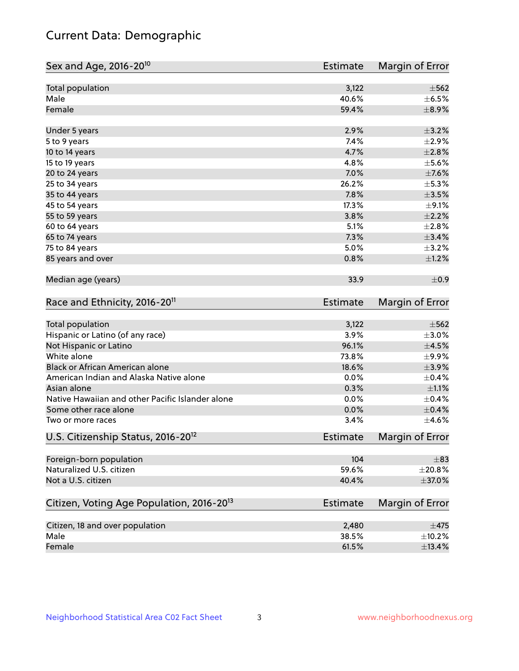# Current Data: Demographic

| Sex and Age, 2016-20 <sup>10</sup>                    | Estimate        | Margin of Error |
|-------------------------------------------------------|-----------------|-----------------|
| Total population                                      | 3,122           | $\pm$ 562       |
| Male                                                  | 40.6%           | $\pm$ 6.5%      |
| Female                                                | 59.4%           | $\pm$ 8.9%      |
| Under 5 years                                         | 2.9%            | $\pm$ 3.2%      |
| 5 to 9 years                                          | 7.4%            | ±2.9%           |
| 10 to 14 years                                        | 4.7%            | $\pm 2.8\%$     |
| 15 to 19 years                                        | 4.8%            | $\pm$ 5.6%      |
| 20 to 24 years                                        | 7.0%            | $\pm$ 7.6%      |
| 25 to 34 years                                        | 26.2%           | $\pm$ 5.3%      |
| 35 to 44 years                                        | 7.8%            | $\pm 3.5\%$     |
| 45 to 54 years                                        | 17.3%           | $\pm$ 9.1%      |
| 55 to 59 years                                        | 3.8%            | $\pm 2.2\%$     |
| 60 to 64 years                                        | 5.1%            | $\pm 2.8\%$     |
| 65 to 74 years                                        | 7.3%            | $\pm$ 3.4%      |
| 75 to 84 years                                        | 5.0%            | $\pm$ 3.2%      |
| 85 years and over                                     | 0.8%            | $\pm 1.2\%$     |
| Median age (years)                                    | 33.9            | $\pm$ 0.9       |
| Race and Ethnicity, 2016-20 <sup>11</sup>             | <b>Estimate</b> | Margin of Error |
| Total population                                      | 3,122           | $\pm$ 562       |
| Hispanic or Latino (of any race)                      | 3.9%            | $\pm 3.0\%$     |
| Not Hispanic or Latino                                | 96.1%           | $\pm 4.5\%$     |
| White alone                                           | 73.8%           | $\pm$ 9.9%      |
| Black or African American alone                       | 18.6%           | $\pm$ 3.9%      |
| American Indian and Alaska Native alone               | 0.0%            | $\pm$ 0.4%      |
| Asian alone                                           | 0.3%            | $\pm 1.1\%$     |
| Native Hawaiian and other Pacific Islander alone      | 0.0%            | $\pm$ 0.4%      |
| Some other race alone                                 | 0.0%            | $\pm$ 0.4%      |
| Two or more races                                     | 3.4%            | $\pm 4.6\%$     |
| U.S. Citizenship Status, 2016-20 <sup>12</sup>        | <b>Estimate</b> | Margin of Error |
| Foreign-born population                               | 104             | $\pm$ 83        |
| Naturalized U.S. citizen                              | 59.6%           | $\pm 20.8\%$    |
| Not a U.S. citizen                                    | 40.4%           | $\pm$ 37.0%     |
| Citizen, Voting Age Population, 2016-20 <sup>13</sup> | Estimate        | Margin of Error |
| Citizen, 18 and over population                       | 2,480           | $\pm$ 475       |
| Male                                                  | 38.5%           | $\pm$ 10.2%     |
| Female                                                | 61.5%           | ±13.4%          |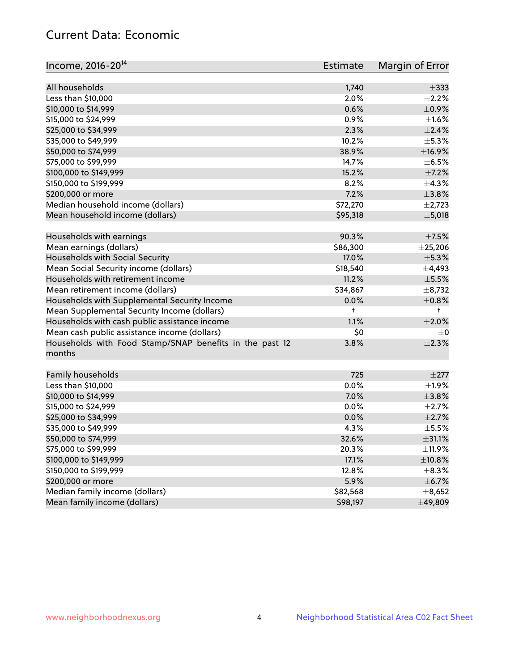# Current Data: Economic

| Income, 2016-20 <sup>14</sup>                                     | Estimate   | Margin of Error |
|-------------------------------------------------------------------|------------|-----------------|
|                                                                   |            |                 |
| All households                                                    | 1,740      | $\pm$ 333       |
| Less than \$10,000                                                | 2.0%       | $\pm 2.2\%$     |
| \$10,000 to \$14,999                                              | 0.6%       | $\pm$ 0.9%      |
| \$15,000 to \$24,999                                              | 0.9%       | $\pm 1.6\%$     |
| \$25,000 to \$34,999                                              | 2.3%       | $\pm 2.4\%$     |
| \$35,000 to \$49,999                                              | 10.2%      | $\pm$ 5.3%      |
| \$50,000 to \$74,999                                              | 38.9%      | ±16.9%          |
| \$75,000 to \$99,999                                              | 14.7%      | $\pm$ 6.5%      |
| \$100,000 to \$149,999                                            | 15.2%      | $\pm$ 7.2%      |
| \$150,000 to \$199,999                                            | 8.2%       | ±4.3%           |
| \$200,000 or more                                                 | 7.2%       | $\pm$ 3.8%      |
| Median household income (dollars)                                 | \$72,270   | $\pm$ 2,723     |
| Mean household income (dollars)                                   | \$95,318   | $\pm$ 5,018     |
| Households with earnings                                          | 90.3%      | $\pm$ 7.5%      |
| Mean earnings (dollars)                                           | \$86,300   | $±$ 25,206      |
| Households with Social Security                                   | 17.0%      | ±5.3%           |
| Mean Social Security income (dollars)                             | \$18,540   | ±4,493          |
| Households with retirement income                                 | 11.2%      | $\pm$ 5.5%      |
| Mean retirement income (dollars)                                  | \$34,867   | $\pm$ 8,732     |
| Households with Supplemental Security Income                      | 0.0%       | $\pm$ 0.8%      |
| Mean Supplemental Security Income (dollars)                       | $\ddagger$ | $^+$            |
| Households with cash public assistance income                     | 1.1%       | $\pm 2.0\%$     |
| Mean cash public assistance income (dollars)                      | \$0        | $\pm$ 0         |
|                                                                   | 3.8%       | $\pm 2.3\%$     |
| Households with Food Stamp/SNAP benefits in the past 12<br>months |            |                 |
| Family households                                                 | 725        | $\pm 277$       |
| Less than \$10,000                                                | 0.0%       | ±1.9%           |
| \$10,000 to \$14,999                                              | 7.0%       | ±3.8%           |
| \$15,000 to \$24,999                                              | 0.0%       | $\pm 2.7\%$     |
| \$25,000 to \$34,999                                              | 0.0%       | $\pm 2.7\%$     |
| \$35,000 to \$49,999                                              | 4.3%       | $\pm$ 5.5%      |
| \$50,000 to \$74,999                                              | 32.6%      | $\pm$ 31.1%     |
| \$75,000 to \$99,999                                              | 20.3%      | $\pm$ 11.9%     |
| \$100,000 to \$149,999                                            | 17.1%      | ±10.8%          |
| \$150,000 to \$199,999                                            | 12.8%      | $\pm$ 8.3%      |
| \$200,000 or more                                                 | 5.9%       | $\pm$ 6.7%      |
| Median family income (dollars)                                    | \$82,568   | ±8,652          |
| Mean family income (dollars)                                      | \$98,197   | ±49,809         |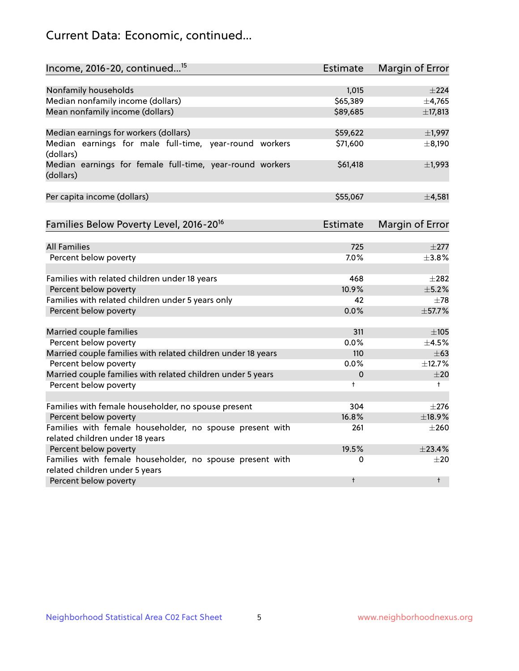# Current Data: Economic, continued...

| Income, 2016-20, continued <sup>15</sup>                                                   | <b>Estimate</b> | Margin of Error        |
|--------------------------------------------------------------------------------------------|-----------------|------------------------|
|                                                                                            |                 |                        |
| Nonfamily households                                                                       | 1,015           | $\pm 224$              |
| Median nonfamily income (dollars)                                                          | \$65,389        | ±4,765                 |
| Mean nonfamily income (dollars)                                                            | \$89,685        | ±17,813                |
| Median earnings for workers (dollars)                                                      | \$59,622        | $\pm$ 1,997            |
| Median earnings for male full-time, year-round workers<br>(dollars)                        | \$71,600        | ±8,190                 |
| Median earnings for female full-time, year-round workers<br>(dollars)                      | \$61,418        | $\pm$ 1,993            |
| Per capita income (dollars)                                                                | \$55,067        | ±4,581                 |
| Families Below Poverty Level, 2016-20 <sup>16</sup>                                        | <b>Estimate</b> | <b>Margin of Error</b> |
|                                                                                            |                 |                        |
| <b>All Families</b>                                                                        | 725             | $\pm 277$              |
| Percent below poverty                                                                      | 7.0%            | $\pm$ 3.8%             |
| Families with related children under 18 years                                              | 468             | $\pm 282$              |
| Percent below poverty                                                                      | 10.9%           | $\pm$ 5.2%             |
| Families with related children under 5 years only                                          | 42              | $\pm 78$               |
| Percent below poverty                                                                      | 0.0%            | ±57.7%                 |
| Married couple families                                                                    | 311             | $\pm 105$              |
| Percent below poverty                                                                      | 0.0%            | $\pm$ 4.5%             |
| Married couple families with related children under 18 years                               | 110             | $\pm 63$               |
| Percent below poverty                                                                      | $0.0\%$         | ±12.7%                 |
| Married couple families with related children under 5 years                                | 0               | ±20                    |
| Percent below poverty                                                                      | $\ddagger$      | $+$                    |
|                                                                                            |                 |                        |
| Families with female householder, no spouse present                                        | 304             | $\pm 276$              |
| Percent below poverty                                                                      | 16.8%           | ±18.9%                 |
| Families with female householder, no spouse present with                                   | 261             | $\pm 260$              |
| related children under 18 years                                                            |                 |                        |
| Percent below poverty                                                                      | 19.5%           | $+23.4%$               |
| Families with female householder, no spouse present with<br>related children under 5 years | 0               | $\pm 20$               |
| Percent below poverty                                                                      | $\ddagger$      | $\ddagger$             |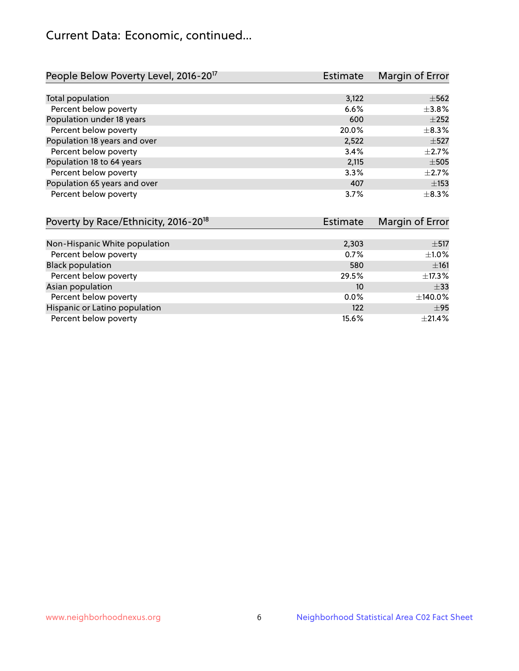# Current Data: Economic, continued...

| People Below Poverty Level, 2016-20 <sup>17</sup> | <b>Estimate</b> | Margin of Error |
|---------------------------------------------------|-----------------|-----------------|
|                                                   |                 |                 |
| Total population                                  | 3,122           | $\pm$ 562       |
| Percent below poverty                             | 6.6%            | $\pm$ 3.8%      |
| Population under 18 years                         | 600             | $\pm 252$       |
| Percent below poverty                             | 20.0%           | $\pm$ 8.3%      |
| Population 18 years and over                      | 2,522           | $\pm$ 527       |
| Percent below poverty                             | 3.4%            | $\pm 2.7\%$     |
| Population 18 to 64 years                         | 2,115           | $\pm$ 505       |
| Percent below poverty                             | 3.3%            | $\pm 2.7\%$     |
| Population 65 years and over                      | 407             | $\pm$ 153       |
| Percent below poverty                             | 3.7%            | $\pm$ 8.3%      |

| Poverty by Race/Ethnicity, 2016-20 <sup>18</sup> | <b>Estimate</b> | Margin of Error |
|--------------------------------------------------|-----------------|-----------------|
|                                                  |                 |                 |
| Non-Hispanic White population                    | 2,303           | $\pm$ 517       |
| Percent below poverty                            | 0.7%            | $\pm 1.0\%$     |
| <b>Black population</b>                          | 580             | ±161            |
| Percent below poverty                            | 29.5%           | ±17.3%          |
| Asian population                                 | 10              | $\pm$ 33        |
| Percent below poverty                            | 0.0%            | ±140.0%         |
| Hispanic or Latino population                    | 122             | $\pm$ 95        |
| Percent below poverty                            | 15.6%           | $\pm 21.4\%$    |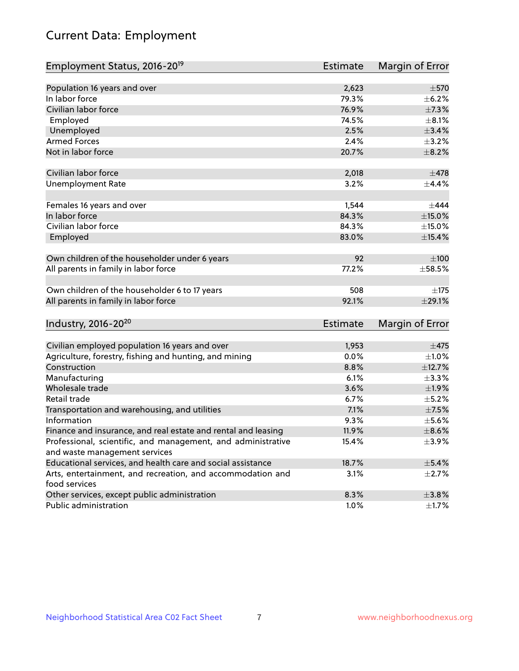# Current Data: Employment

| Employment Status, 2016-20 <sup>19</sup>                                    | <b>Estimate</b> | Margin of Error |
|-----------------------------------------------------------------------------|-----------------|-----------------|
|                                                                             |                 |                 |
| Population 16 years and over                                                | 2,623           | $\pm$ 570       |
| In labor force                                                              | 79.3%           | $\pm$ 6.2%      |
| Civilian labor force                                                        | 76.9%           | $\pm$ 7.3%      |
| Employed                                                                    | 74.5%           | $\pm$ 8.1%      |
| Unemployed                                                                  | 2.5%            | $\pm$ 3.4%      |
| <b>Armed Forces</b>                                                         | 2.4%            | $\pm$ 3.2%      |
| Not in labor force                                                          | 20.7%           | $\pm$ 8.2%      |
| Civilian labor force                                                        | 2,018           | $\pm$ 478       |
| <b>Unemployment Rate</b>                                                    | 3.2%            | $\pm$ 4.4%      |
|                                                                             |                 |                 |
| Females 16 years and over                                                   | 1,544           | $\pm$ 444       |
| In labor force                                                              | 84.3%           | $\pm$ 15.0%     |
| Civilian labor force                                                        | 84.3%           | $\pm$ 15.0%     |
| Employed                                                                    | 83.0%           | $\pm$ 15.4%     |
|                                                                             |                 |                 |
| Own children of the householder under 6 years                               | 92              | $\pm 100$       |
| All parents in family in labor force                                        | 77.2%           | $\pm$ 58.5%     |
| Own children of the householder 6 to 17 years                               | 508             | ±175            |
| All parents in family in labor force                                        | 92.1%           | $\pm$ 29.1%     |
|                                                                             |                 |                 |
| Industry, 2016-20 <sup>20</sup>                                             | <b>Estimate</b> | Margin of Error |
|                                                                             |                 |                 |
| Civilian employed population 16 years and over                              | 1,953           | ±475            |
| Agriculture, forestry, fishing and hunting, and mining                      | 0.0%            | $\pm 1.0\%$     |
| Construction                                                                | 8.8%            | ±12.7%          |
| Manufacturing                                                               | 6.1%            | ±3.3%           |
| Wholesale trade                                                             | 3.6%            | ±1.9%           |
| Retail trade                                                                | 6.7%            | $\pm$ 5.2%      |
| Transportation and warehousing, and utilities                               | 7.1%            | $\pm$ 7.5%      |
| Information                                                                 | 9.3%            | $\pm$ 5.6%      |
| Finance and insurance, and real estate and rental and leasing               | 11.9%           | $\pm$ 8.6%      |
| Professional, scientific, and management, and administrative                | 15.4%           | $\pm$ 3.9%      |
| and waste management services                                               |                 |                 |
| Educational services, and health care and social assistance                 | 18.7%           | $\pm$ 5.4%      |
| Arts, entertainment, and recreation, and accommodation and<br>food services | 3.1%            | $\pm$ 2.7%      |
| Other services, except public administration                                | 8.3%            | ±3.8%           |
| Public administration                                                       | 1.0%            | $\pm$ 1.7%      |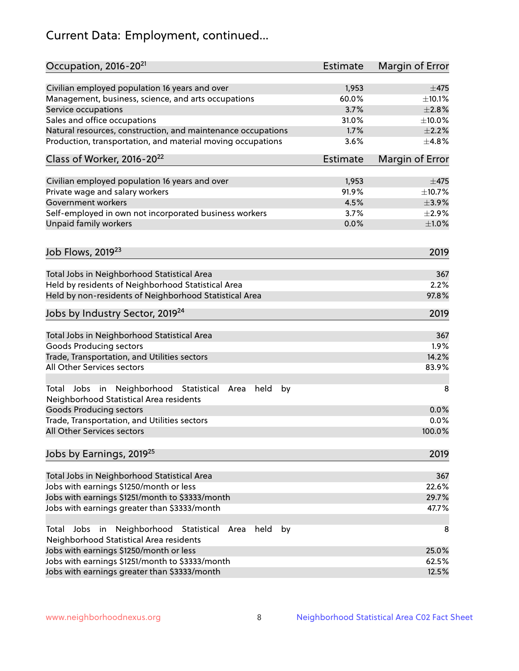# Current Data: Employment, continued...

| Occupation, 2016-20 <sup>21</sup>                                                                       | <b>Estimate</b> | Margin of Error |
|---------------------------------------------------------------------------------------------------------|-----------------|-----------------|
| Civilian employed population 16 years and over                                                          | 1,953           | $\pm$ 475       |
| Management, business, science, and arts occupations                                                     | 60.0%           | ±10.1%          |
| Service occupations                                                                                     | 3.7%            | $\pm 2.8\%$     |
| Sales and office occupations                                                                            | 31.0%           | $\pm 10.0\%$    |
| Natural resources, construction, and maintenance occupations                                            | 1.7%            | $\pm 2.2\%$     |
| Production, transportation, and material moving occupations                                             | 3.6%            | ±4.8%           |
| Class of Worker, 2016-20 <sup>22</sup>                                                                  | <b>Estimate</b> | Margin of Error |
| Civilian employed population 16 years and over                                                          | 1,953           | $\pm$ 475       |
| Private wage and salary workers                                                                         | 91.9%           | ±10.7%          |
| Government workers                                                                                      | 4.5%            | $\pm$ 3.9%      |
| Self-employed in own not incorporated business workers                                                  | 3.7%            | $\pm 2.9\%$     |
| Unpaid family workers                                                                                   | 0.0%            | ±1.0%           |
| Job Flows, 2019 <sup>23</sup>                                                                           |                 | 2019            |
|                                                                                                         |                 |                 |
| Total Jobs in Neighborhood Statistical Area                                                             |                 | 367             |
| Held by residents of Neighborhood Statistical Area                                                      |                 | 2.2%            |
| Held by non-residents of Neighborhood Statistical Area                                                  |                 | 97.8%           |
| Jobs by Industry Sector, 2019 <sup>24</sup>                                                             |                 | 2019            |
| Total Jobs in Neighborhood Statistical Area                                                             |                 | 367             |
| <b>Goods Producing sectors</b>                                                                          |                 | 1.9%            |
| Trade, Transportation, and Utilities sectors                                                            |                 | 14.2%           |
| All Other Services sectors                                                                              |                 | 83.9%           |
| Total Jobs in Neighborhood Statistical<br>held<br>by<br>Area<br>Neighborhood Statistical Area residents |                 | 8               |
| <b>Goods Producing sectors</b>                                                                          |                 | 0.0%            |
| Trade, Transportation, and Utilities sectors                                                            |                 | 0.0%            |
| All Other Services sectors                                                                              |                 | 100.0%          |
| Jobs by Earnings, 2019 <sup>25</sup>                                                                    |                 | 2019            |
| Total Jobs in Neighborhood Statistical Area                                                             |                 | 367             |
| Jobs with earnings \$1250/month or less                                                                 |                 | 22.6%           |
| Jobs with earnings \$1251/month to \$3333/month                                                         |                 | 29.7%           |
| Jobs with earnings greater than \$3333/month                                                            |                 | 47.7%           |
| Neighborhood Statistical<br>Jobs<br>in<br>held<br>by<br>Total<br>Area                                   |                 | 8               |
| Neighborhood Statistical Area residents                                                                 |                 |                 |
| Jobs with earnings \$1250/month or less                                                                 |                 | 25.0%           |
| Jobs with earnings \$1251/month to \$3333/month                                                         |                 | 62.5%           |
| Jobs with earnings greater than \$3333/month                                                            |                 | 12.5%           |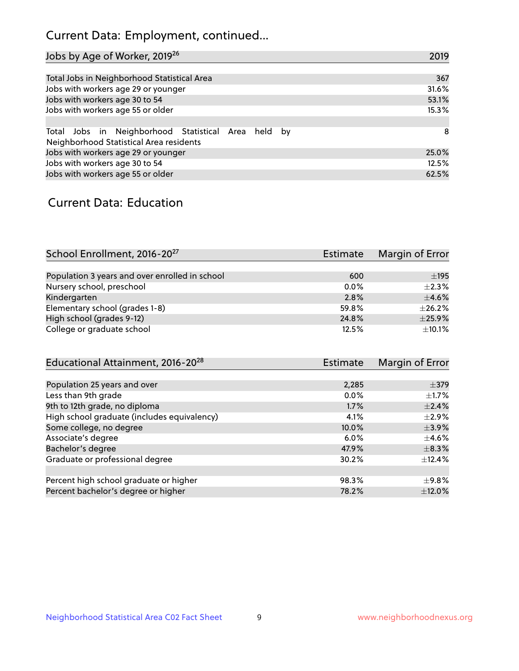# Current Data: Employment, continued...

| Jobs by Age of Worker, 2019 <sup>26</sup>                                                      | 2019  |
|------------------------------------------------------------------------------------------------|-------|
|                                                                                                |       |
| Total Jobs in Neighborhood Statistical Area                                                    | 367   |
| Jobs with workers age 29 or younger                                                            | 31.6% |
| Jobs with workers age 30 to 54                                                                 | 53.1% |
| Jobs with workers age 55 or older                                                              | 15.3% |
|                                                                                                |       |
| Total Jobs in Neighborhood Statistical Area held by<br>Neighborhood Statistical Area residents | -8    |
| Jobs with workers age 29 or younger                                                            | 25.0% |
| Jobs with workers age 30 to 54                                                                 | 12.5% |
| Jobs with workers age 55 or older                                                              | 62.5% |

### Current Data: Education

| School Enrollment, 2016-20 <sup>27</sup>       | <b>Estimate</b> | Margin of Error |
|------------------------------------------------|-----------------|-----------------|
|                                                |                 |                 |
| Population 3 years and over enrolled in school | 600             | $\pm$ 195       |
| Nursery school, preschool                      | $0.0\%$         | $\pm 2.3\%$     |
| Kindergarten                                   | 2.8%            | $\pm$ 4.6%      |
| Elementary school (grades 1-8)                 | 59.8%           | $\pm 26.2\%$    |
| High school (grades 9-12)                      | 24.8%           | $\pm$ 25.9%     |
| College or graduate school                     | 12.5%           | $\pm$ 10.1%     |

| Educational Attainment, 2016-20 <sup>28</sup> | <b>Estimate</b> | Margin of Error |
|-----------------------------------------------|-----------------|-----------------|
|                                               |                 |                 |
| Population 25 years and over                  | 2,285           | $\pm$ 379       |
| Less than 9th grade                           | 0.0%            | $\pm 1.7\%$     |
| 9th to 12th grade, no diploma                 | 1.7%            | $\pm$ 2.4%      |
| High school graduate (includes equivalency)   | 4.1%            | $\pm 2.9\%$     |
| Some college, no degree                       | 10.0%           | $\pm$ 3.9%      |
| Associate's degree                            | 6.0%            | $\pm$ 4.6%      |
| Bachelor's degree                             | 47.9%           | $\pm$ 8.3%      |
| Graduate or professional degree               | 30.2%           | $\pm$ 12.4%     |
|                                               |                 |                 |
| Percent high school graduate or higher        | 98.3%           | $\pm$ 9.8%      |
| Percent bachelor's degree or higher           | 78.2%           | $\pm$ 12.0%     |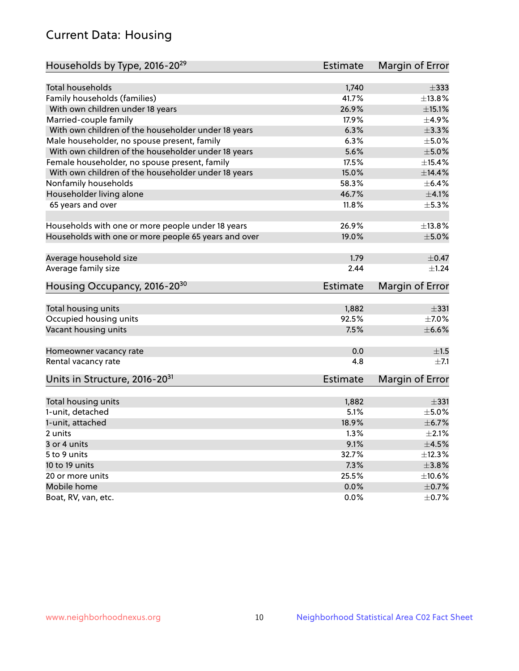# Current Data: Housing

| Households by Type, 2016-20 <sup>29</sup>            | <b>Estimate</b> | Margin of Error |
|------------------------------------------------------|-----------------|-----------------|
|                                                      |                 |                 |
| Total households                                     | 1,740           | $\pm$ 333       |
| Family households (families)                         | 41.7%           | ±13.8%          |
| With own children under 18 years                     | 26.9%           | $\pm$ 15.1%     |
| Married-couple family                                | 17.9%           | ±4.9%           |
| With own children of the householder under 18 years  | 6.3%            | $\pm$ 3.3%      |
| Male householder, no spouse present, family          | 6.3%            | $\pm$ 5.0%      |
| With own children of the householder under 18 years  | 5.6%            | $\pm$ 5.0%      |
| Female householder, no spouse present, family        | 17.5%           | $\pm$ 15.4%     |
| With own children of the householder under 18 years  | 15.0%           | ±14.4%          |
| Nonfamily households                                 | 58.3%           | $\pm$ 6.4%      |
| Householder living alone                             | 46.7%           | $\pm 4.1\%$     |
| 65 years and over                                    | 11.8%           | $\pm$ 5.3%      |
|                                                      |                 |                 |
| Households with one or more people under 18 years    | 26.9%           | ±13.8%          |
| Households with one or more people 65 years and over | 19.0%           | $\pm$ 5.0%      |
| Average household size                               | 1.79            | $\pm$ 0.47      |
| Average family size                                  | 2.44            | ±1.24           |
|                                                      |                 |                 |
| Housing Occupancy, 2016-20 <sup>30</sup>             | <b>Estimate</b> | Margin of Error |
| Total housing units                                  | 1,882           | $\pm$ 331       |
| Occupied housing units                               | 92.5%           | $\pm$ 7.0%      |
| Vacant housing units                                 | 7.5%            | $\pm$ 6.6%      |
|                                                      |                 |                 |
| Homeowner vacancy rate                               | 0.0             | ±1.5            |
| Rental vacancy rate                                  | 4.8             | $\pm 7.1$       |
| Units in Structure, 2016-20 <sup>31</sup>            | Estimate        | Margin of Error |
|                                                      |                 |                 |
| Total housing units                                  | 1,882           | $\pm$ 331       |
| 1-unit, detached                                     | 5.1%            | $\pm$ 5.0%      |
| 1-unit, attached                                     | 18.9%           | $\pm$ 6.7%      |
| 2 units                                              | 1.3%            | $\pm 2.1\%$     |
| 3 or 4 units                                         | 9.1%            | $\pm 4.5\%$     |
| 5 to 9 units                                         | 32.7%           | ±12.3%          |
| 10 to 19 units                                       | 7.3%            | $\pm$ 3.8%      |
| 20 or more units                                     | 25.5%           | ±10.6%          |
| Mobile home                                          | 0.0%            | $\pm$ 0.7%      |
| Boat, RV, van, etc.                                  | $0.0\%$         | $\pm$ 0.7%      |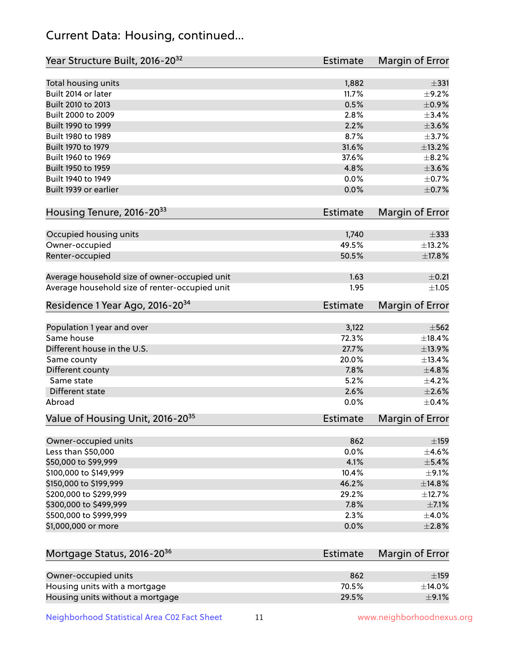# Current Data: Housing, continued...

| Year Structure Built, 2016-20 <sup>32</sup>    | <b>Estimate</b> | Margin of Error  |
|------------------------------------------------|-----------------|------------------|
| Total housing units                            | 1,882           | $\pm$ 331        |
| Built 2014 or later                            | 11.7%           | $\pm$ 9.2%       |
| Built 2010 to 2013                             | 0.5%            | $\pm$ 0.9%       |
| Built 2000 to 2009                             | 2.8%            | $\pm$ 3.4%       |
| Built 1990 to 1999                             | 2.2%            | $\pm 3.6\%$      |
| Built 1980 to 1989                             | 8.7%            | $\pm$ 3.7%       |
| Built 1970 to 1979                             | 31.6%           | ±13.2%           |
| Built 1960 to 1969                             | 37.6%           | $\pm$ 8.2%       |
| Built 1950 to 1959                             | 4.8%            | $\pm 3.6\%$      |
| Built 1940 to 1949                             | 0.0%            | $\pm$ 0.7%       |
| Built 1939 or earlier                          | 0.0%            | $\pm$ 0.7%       |
| Housing Tenure, 2016-2033                      | <b>Estimate</b> | Margin of Error  |
|                                                |                 |                  |
| Occupied housing units                         | 1,740           | $\pm$ 333        |
| Owner-occupied                                 | 49.5%           | ±13.2%           |
| Renter-occupied                                | 50.5%           | $\pm$ 17.8%      |
| Average household size of owner-occupied unit  | 1.63            | $\pm$ 0.21       |
| Average household size of renter-occupied unit | 1.95            | $\pm 1.05$       |
| Residence 1 Year Ago, 2016-20 <sup>34</sup>    | <b>Estimate</b> | Margin of Error  |
|                                                |                 | $\pm$ 562        |
| Population 1 year and over<br>Same house       | 3,122<br>72.3%  |                  |
| Different house in the U.S.                    | 27.7%           | ±18.4%           |
|                                                |                 | ±13.9%<br>±13.4% |
| Same county                                    | 20.0%           |                  |
| Different county<br>Same state                 | 7.8%            | ±4.8%            |
|                                                | 5.2%            | $\pm$ 4.2%       |
| Different state                                | 2.6%            | $\pm 2.6\%$      |
| Abroad                                         | 0.0%            | $\pm$ 0.4%       |
| Value of Housing Unit, 2016-20 <sup>35</sup>   | <b>Estimate</b> | Margin of Error  |
| Owner-occupied units                           | 862             | $\pm$ 159        |
| Less than \$50,000                             | 0.0%            | $\pm$ 4.6%       |
| \$50,000 to \$99,999                           | 4.1%            | ±5.4%            |
| \$100,000 to \$149,999                         | 10.4%           | $\pm$ 9.1%       |
| \$150,000 to \$199,999                         | 46.2%           | ±14.8%           |
| \$200,000 to \$299,999                         | 29.2%           | ±12.7%           |
| \$300,000 to \$499,999                         | 7.8%            | $\pm$ 7.1%       |
| \$500,000 to \$999,999                         | 2.3%            | $\pm$ 4.0%       |
| \$1,000,000 or more                            | 0.0%            | ±2.8%            |
|                                                |                 |                  |
| Mortgage Status, 2016-20 <sup>36</sup>         | <b>Estimate</b> | Margin of Error  |
| Owner-occupied units                           | 862             | $\pm$ 159        |
| Housing units with a mortgage                  | 70.5%           | ±14.0%           |
| Housing units without a mortgage               | 29.5%           | $\pm$ 9.1%       |

Neighborhood Statistical Area C02 Fact Sheet 11 11 www.neighborhoodnexus.org

Housing units without a mortgage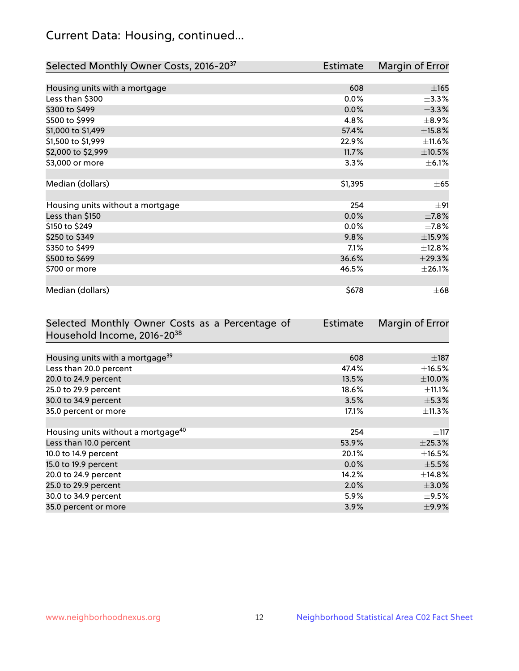# Current Data: Housing, continued...

| Selected Monthly Owner Costs, 2016-20 <sup>37</sup> | Estimate | Margin of Error |
|-----------------------------------------------------|----------|-----------------|
|                                                     |          |                 |
| Housing units with a mortgage                       | 608      | $\pm 165$       |
| Less than \$300                                     | 0.0%     | $\pm$ 3.3%      |
| \$300 to \$499                                      | 0.0%     | ±3.3%           |
| \$500 to \$999                                      | 4.8%     | $\pm$ 8.9%      |
| \$1,000 to \$1,499                                  | 57.4%    | ±15.8%          |
| \$1,500 to \$1,999                                  | 22.9%    | $\pm$ 11.6%     |
| \$2,000 to \$2,999                                  | 11.7%    | $\pm$ 10.5%     |
| \$3,000 or more                                     | 3.3%     | $\pm$ 6.1%      |
|                                                     |          |                 |
| Median (dollars)                                    | \$1,395  | $\pm 65$        |
|                                                     |          |                 |
| Housing units without a mortgage                    | 254      | $\pm$ 91        |
| Less than \$150                                     | 0.0%     | $\pm$ 7.8%      |
| \$150 to \$249                                      | 0.0%     | $\pm$ 7.8%      |
| \$250 to \$349                                      | 9.8%     | ±15.9%          |
| \$350 to \$499                                      | 7.1%     | ±12.8%          |
| \$500 to \$699                                      | 36.6%    | ±29.3%          |
| \$700 or more                                       | 46.5%    | $\pm 26.1\%$    |
|                                                     |          |                 |
| Median (dollars)                                    | \$678    | $\pm 68$        |

| Selected Monthly Owner Costs as a Percentage of<br>Household Income, 2016-2038 | <b>Estimate</b> | Margin of Error |
|--------------------------------------------------------------------------------|-----------------|-----------------|
|                                                                                |                 |                 |
| Housing units with a mortgage <sup>39</sup>                                    | 608             | $\pm$ 187       |
| Less than 20.0 percent                                                         | 47.4%           | $\pm$ 16.5%     |
| 20.0 to 24.9 percent                                                           | 13.5%           | $\pm$ 10.0%     |
| 25.0 to 29.9 percent                                                           | 18.6%           | $\pm$ 11.1%     |
| 30.0 to 34.9 percent                                                           | 3.5%            | $\pm$ 5.3%      |
| 35.0 percent or more                                                           | 17.1%           | $\pm$ 11.3%     |
|                                                                                |                 |                 |
| Housing units without a mortgage <sup>40</sup>                                 | 254             | $\pm$ 117       |
| Less than 10.0 percent                                                         | 53.9%           | ±25.3%          |
| 10.0 to 14.9 percent                                                           | 20.1%           | $\pm$ 16.5%     |
| 15.0 to 19.9 percent                                                           | $0.0\%$         | $\pm$ 5.5%      |
| 20.0 to 24.9 percent                                                           | 14.2%           | $\pm$ 14.8%     |
| 25.0 to 29.9 percent                                                           | 2.0%            | $\pm$ 3.0%      |
| 30.0 to 34.9 percent                                                           | 5.9%            | $\pm$ 9.5%      |
| 35.0 percent or more                                                           | 3.9%            | $\pm$ 9.9%      |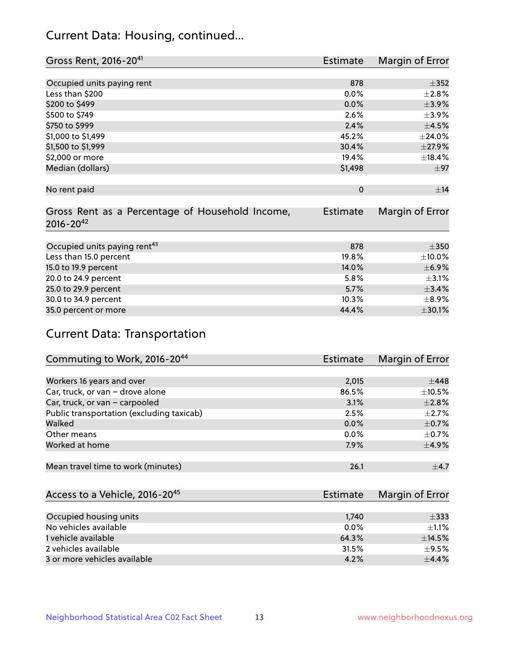# Current Data: Housing, continued...

| Gross Rent, 2016-20 <sup>41</sup>               | <b>Estimate</b> | Margin of Error |
|-------------------------------------------------|-----------------|-----------------|
|                                                 |                 |                 |
| Occupied units paying rent                      | 878             | $\pm$ 352       |
| Less than \$200                                 | 0.0%            | $\pm 2.8\%$     |
| \$200 to \$499                                  | 0.0%            | $\pm$ 3.9%      |
| \$500 to \$749                                  | 2.6%            | $\pm$ 3.9%      |
| \$750 to \$999                                  | 2.4%            | $\pm$ 4.5%      |
| \$1,000 to \$1,499                              | 45.2%           | ±24.0%          |
| \$1,500 to \$1,999                              | 30.4%           | $\pm$ 27.9%     |
| \$2,000 or more                                 | 19.4%           | ±18.4%          |
| Median (dollars)                                | \$1,498         | $\pm$ 97        |
|                                                 |                 |                 |
| No rent paid                                    | $\Omega$        | ±14             |
|                                                 |                 |                 |
| Gross Rent as a Percentage of Household Income, | <b>Estimate</b> | Margin of Error |
| $2016 - 20^{42}$                                |                 |                 |
|                                                 |                 |                 |
| Occupied units paying rent <sup>43</sup>        | 878             | $\pm 350$       |
| Less than 15.0 percent                          | 19.8%           | $\pm 10.0\%$    |
| 15.0 to 19.9 percent                            | 14.0%           | $\pm$ 6.9%      |
| 20.0 to 24.9 percent                            | 5.8%            | $\pm$ 3.1%      |
| 25.0 to 29.9 percent                            | 5.7%            | ±3.4%           |
| 30.0 to 34.9 percent                            | 10.3%           | $\pm$ 8.9%      |
| 35.0 percent or more                            | 44.4%           | $\pm$ 30.1%     |

# Current Data: Transportation

| Commuting to Work, 2016-20 <sup>44</sup>  | <b>Estimate</b> | Margin of Error |
|-------------------------------------------|-----------------|-----------------|
|                                           |                 |                 |
| Workers 16 years and over                 | 2,015           | $\pm$ 448       |
| Car, truck, or van - drove alone          | 86.5%           | $\pm$ 10.5%     |
| Car, truck, or van - carpooled            | 3.1%            | $\pm 2.8\%$     |
| Public transportation (excluding taxicab) | 2.5%            | $\pm 2.7\%$     |
| Walked                                    | 0.0%            | $\pm$ 0.7%      |
| Other means                               | $0.0\%$         | $\pm$ 0.7%      |
| Worked at home                            | 7.9%            | $\pm$ 4.9%      |
|                                           |                 |                 |
| Mean travel time to work (minutes)        | 26.1            | $\pm$ 4.7       |

| Access to a Vehicle, 2016-20 <sup>45</sup> | Estimate | Margin of Error |
|--------------------------------------------|----------|-----------------|
|                                            |          |                 |
| Occupied housing units                     | 1,740    | $\pm$ 333       |
| No vehicles available                      | $0.0\%$  | $+1.1%$         |
| 1 vehicle available                        | 64.3%    | ±14.5%          |
| 2 vehicles available                       | 31.5%    | $+9.5%$         |
| 3 or more vehicles available               | 4.2%     | $+4.4%$         |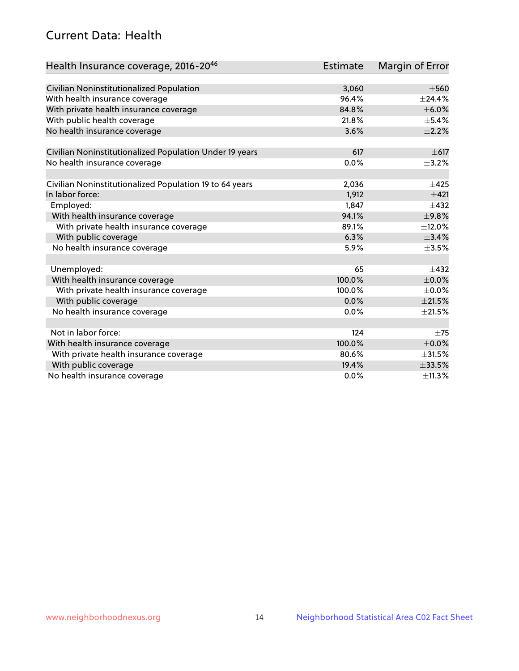# Current Data: Health

| Health Insurance coverage, 2016-2046                    | <b>Estimate</b> | <b>Margin of Error</b> |
|---------------------------------------------------------|-----------------|------------------------|
|                                                         |                 |                        |
| Civilian Noninstitutionalized Population                | 3,060           | $\pm$ 560              |
| With health insurance coverage                          | 96.4%           | $±$ 24.4%              |
| With private health insurance coverage                  | 84.8%           | $\pm$ 6.0%             |
| With public health coverage                             | 21.8%           | $\pm$ 5.4%             |
| No health insurance coverage                            | 3.6%            | $\pm 2.2\%$            |
| Civilian Noninstitutionalized Population Under 19 years | 617             | $\pm$ 617              |
| No health insurance coverage                            | 0.0%            | $\pm$ 3.2%             |
|                                                         |                 |                        |
| Civilian Noninstitutionalized Population 19 to 64 years | 2,036           | $\pm 425$              |
| In labor force:                                         | 1,912           | ±421                   |
| Employed:                                               | 1,847           | $\pm 432$              |
| With health insurance coverage                          | 94.1%           | $\pm$ 9.8%             |
| With private health insurance coverage                  | 89.1%           | ±12.0%                 |
| With public coverage                                    | 6.3%            | ±3.4%                  |
| No health insurance coverage                            | 5.9%            | $\pm$ 3.5%             |
| Unemployed:                                             | 65              | $+432$                 |
| With health insurance coverage                          | 100.0%          | $\pm$ 0.0%             |
| With private health insurance coverage                  | 100.0%          | $\pm$ 0.0%             |
| With public coverage                                    | 0.0%            | $\pm 21.5\%$           |
| No health insurance coverage                            | 0.0%            | $\pm 21.5\%$           |
|                                                         |                 |                        |
| Not in labor force:                                     | 124             | $\pm 75$               |
| With health insurance coverage                          | 100.0%          | $\pm$ 0.0%             |
| With private health insurance coverage                  | 80.6%           | $\pm 31.5\%$           |
| With public coverage                                    | 19.4%           | $\pm 33.5\%$           |
| No health insurance coverage                            | $0.0\%$         | ±11.3%                 |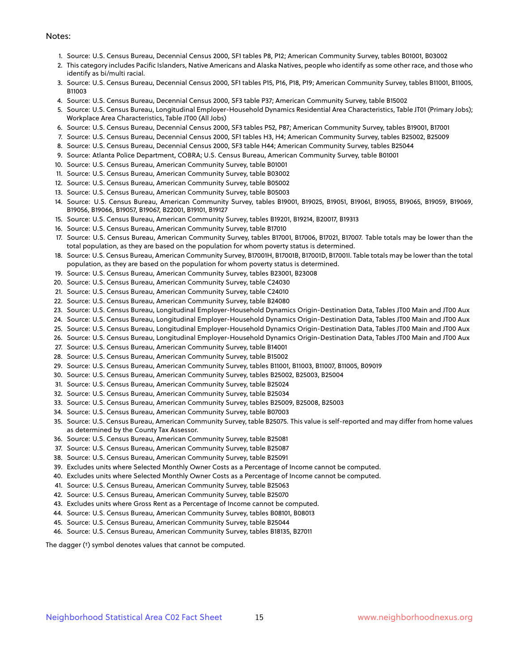#### Notes:

- 1. Source: U.S. Census Bureau, Decennial Census 2000, SF1 tables P8, P12; American Community Survey, tables B01001, B03002
- 2. This category includes Pacific Islanders, Native Americans and Alaska Natives, people who identify as some other race, and those who identify as bi/multi racial.
- 3. Source: U.S. Census Bureau, Decennial Census 2000, SF1 tables P15, P16, P18, P19; American Community Survey, tables B11001, B11005, B11003
- 4. Source: U.S. Census Bureau, Decennial Census 2000, SF3 table P37; American Community Survey, table B15002
- 5. Source: U.S. Census Bureau, Longitudinal Employer-Household Dynamics Residential Area Characteristics, Table JT01 (Primary Jobs); Workplace Area Characteristics, Table JT00 (All Jobs)
- 6. Source: U.S. Census Bureau, Decennial Census 2000, SF3 tables P52, P87; American Community Survey, tables B19001, B17001
- 7. Source: U.S. Census Bureau, Decennial Census 2000, SF1 tables H3, H4; American Community Survey, tables B25002, B25009
- 8. Source: U.S. Census Bureau, Decennial Census 2000, SF3 table H44; American Community Survey, tables B25044
- 9. Source: Atlanta Police Department, COBRA; U.S. Census Bureau, American Community Survey, table B01001
- 10. Source: U.S. Census Bureau, American Community Survey, table B01001
- 11. Source: U.S. Census Bureau, American Community Survey, table B03002
- 12. Source: U.S. Census Bureau, American Community Survey, table B05002
- 13. Source: U.S. Census Bureau, American Community Survey, table B05003
- 14. Source: U.S. Census Bureau, American Community Survey, tables B19001, B19025, B19051, B19061, B19055, B19065, B19059, B19069, B19056, B19066, B19057, B19067, B22001, B19101, B19127
- 15. Source: U.S. Census Bureau, American Community Survey, tables B19201, B19214, B20017, B19313
- 16. Source: U.S. Census Bureau, American Community Survey, table B17010
- 17. Source: U.S. Census Bureau, American Community Survey, tables B17001, B17006, B17021, B17007. Table totals may be lower than the total population, as they are based on the population for whom poverty status is determined.
- 18. Source: U.S. Census Bureau, American Community Survey, B17001H, B17001B, B17001D, B17001I. Table totals may be lower than the total population, as they are based on the population for whom poverty status is determined.
- 19. Source: U.S. Census Bureau, American Community Survey, tables B23001, B23008
- 20. Source: U.S. Census Bureau, American Community Survey, table C24030
- 21. Source: U.S. Census Bureau, American Community Survey, table C24010
- 22. Source: U.S. Census Bureau, American Community Survey, table B24080
- 23. Source: U.S. Census Bureau, Longitudinal Employer-Household Dynamics Origin-Destination Data, Tables JT00 Main and JT00 Aux
- 24. Source: U.S. Census Bureau, Longitudinal Employer-Household Dynamics Origin-Destination Data, Tables JT00 Main and JT00 Aux
- 25. Source: U.S. Census Bureau, Longitudinal Employer-Household Dynamics Origin-Destination Data, Tables JT00 Main and JT00 Aux
- 26. Source: U.S. Census Bureau, Longitudinal Employer-Household Dynamics Origin-Destination Data, Tables JT00 Main and JT00 Aux
- 27. Source: U.S. Census Bureau, American Community Survey, table B14001
- 28. Source: U.S. Census Bureau, American Community Survey, table B15002
- 29. Source: U.S. Census Bureau, American Community Survey, tables B11001, B11003, B11007, B11005, B09019
- 30. Source: U.S. Census Bureau, American Community Survey, tables B25002, B25003, B25004
- 31. Source: U.S. Census Bureau, American Community Survey, table B25024
- 32. Source: U.S. Census Bureau, American Community Survey, table B25034
- 33. Source: U.S. Census Bureau, American Community Survey, tables B25009, B25008, B25003
- 34. Source: U.S. Census Bureau, American Community Survey, table B07003
- 35. Source: U.S. Census Bureau, American Community Survey, table B25075. This value is self-reported and may differ from home values as determined by the County Tax Assessor.
- 36. Source: U.S. Census Bureau, American Community Survey, table B25081
- 37. Source: U.S. Census Bureau, American Community Survey, table B25087
- 38. Source: U.S. Census Bureau, American Community Survey, table B25091
- 39. Excludes units where Selected Monthly Owner Costs as a Percentage of Income cannot be computed.
- 40. Excludes units where Selected Monthly Owner Costs as a Percentage of Income cannot be computed.
- 41. Source: U.S. Census Bureau, American Community Survey, table B25063
- 42. Source: U.S. Census Bureau, American Community Survey, table B25070
- 43. Excludes units where Gross Rent as a Percentage of Income cannot be computed.
- 44. Source: U.S. Census Bureau, American Community Survey, tables B08101, B08013
- 45. Source: U.S. Census Bureau, American Community Survey, table B25044
- 46. Source: U.S. Census Bureau, American Community Survey, tables B18135, B27011

The dagger (†) symbol denotes values that cannot be computed.